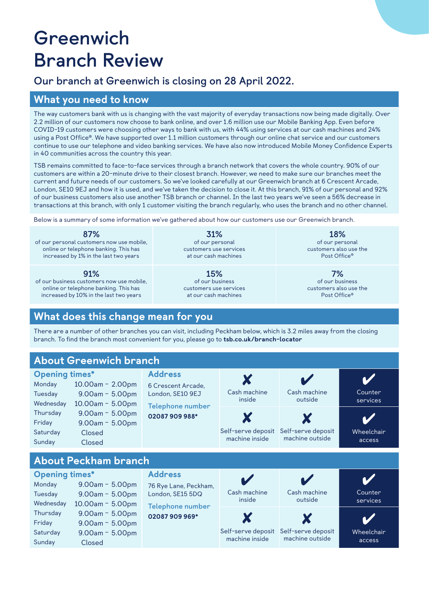# **Greenwich Branch Review**

# **Our branch at Greenwich is closing on 28 April 2022.**

### What you need to know

The way customers bank with us is changing with the vast majority of everyday transactions now being made digitally. Over 2.2 million of our customers now choose to bank online, and over 1.6 million use our Mobile Banking App. Even before COVID-19 customers were choosing other ways to bank with us, with 44% using services at our cash machines and 24% using a Post Office®. We have supported over 1.1 million customers through our online chat service and our customers continue to use our telephone and video banking services. We have also now introduced Mobile Money Confidence Experts in 40 communities across the country this year.

TSB remains committed to face-to-face services through a branch network that covers the whole country. 90% of our customers are within a 20-minute drive to their closest branch. However, we need to make sure our branches meet the current and future needs of our customers. So we've looked carefully at our Greenwich branch at 6 Crescent Arcade, London, SE10 9EJ and how it is used, and we've taken the decision to close it. At this branch, 91% of our personal and 92% of our business customers also use another TSB branch or channel. In the last two years we've seen a 56% decrease in transactions at this branch, with only 1 customer visiting the branch regularly, who uses the branch and no other channel.

Below is a summary of some information we've gathered about how our customers use our Greenwich branch.

**87%** of our personal customers now use mobile, online or telephone banking. This has increased by 1% in the last two years

**91%**

of our business customers now use mobile, online or telephone banking. This has increased by 10% in the last two years

**31%** of our personal customers use services at our cash machines

**15%** of our business customers use services at our cash machines

**18%** of our personal customers also use the Post Office®

**7%** of our business customers also use the Post Office®

# What does this change mean for you

There are a number of other branches you can visit, including Peckham below, which is 3.2 miles away from the closing branch. To find the branch most convenient for you, please go to [tsb.co.uk/branch-locator](http://tsb.co.uk/branch-locator)

# About Greenwich branch

| <b>Opening times*</b><br>Monday<br>Tuesday<br>Wednesday | 10.00am - 2.00pm<br>$9.00am - 5.00pm$<br>$10.00$ am - 5.00pm | <b>Address</b><br>6 Crescent Arcade,<br>London, SE10 9EJ<br>Telephone number<br>02087 909 988* | Cash machine<br>inside               | Cash machine<br>outside               | Counter<br>services  |
|---------------------------------------------------------|--------------------------------------------------------------|------------------------------------------------------------------------------------------------|--------------------------------------|---------------------------------------|----------------------|
| Thursday<br>Friday<br>Saturday<br>Sunday                | $9.00am - 5.00pm$<br>$9.00am - 5.00pm$<br>Closed<br>Closed   |                                                                                                | Self-serve deposit<br>machine inside | Self-serve deposit<br>machine outside | Wheelchair<br>access |
| Ahout Packham hranch                                    |                                                              |                                                                                                |                                      |                                       |                      |

#### arie Pie

| <b>Opening times*</b><br>Monday<br>Tuesday<br>Wednesday | $9.00am - 5.00pm$<br>$9.00am - 5.00pm$<br>$10.00$ am - 5.00pm         | <b>Address</b><br>76 Rye Lane, Peckham,<br>London, SE15 5DQ<br>Telephone number<br>02087909969* | Cash machine<br>inside               | Cash machine<br>outside               | Counter<br>services  |
|---------------------------------------------------------|-----------------------------------------------------------------------|-------------------------------------------------------------------------------------------------|--------------------------------------|---------------------------------------|----------------------|
| Thursday<br>Friday<br>Saturday<br>Sunday                | $9.00am - 5.00pm$<br>$9.00am - 5.00pm$<br>$9.00am - 5.00pm$<br>Closed |                                                                                                 | Self-serve deposit<br>machine inside | Self-serve deposit<br>machine outside | Wheelchair<br>access |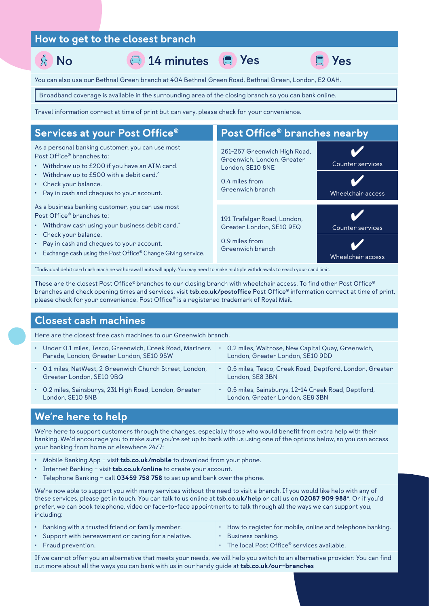### How to get to the closest branch

**No 14 minutes Yes Yes**

You can also use our Bethnal Green branch at 404 Bethnal Green Road, Bethnal Green, London, E2 0AH.

Broadband coverage is available in the surrounding area of the closing branch so you can bank online.

Travel information correct at time of print but can vary, please check for your convenience.

| Services at your Post Office®                                                                                                                                                                                                                                                       | Post Office <sup>®</sup> branches nearby                                                                             |                                       |  |
|-------------------------------------------------------------------------------------------------------------------------------------------------------------------------------------------------------------------------------------------------------------------------------------|----------------------------------------------------------------------------------------------------------------------|---------------------------------------|--|
| As a personal banking customer, you can use most<br>Post Office <sup>®</sup> branches to:<br>• Withdraw up to £200 if you have an ATM card.<br>· Withdraw up to £500 with a debit card.^<br>• Check your balance.<br>• Pay in cash and cheques to your account.                     | 261-267 Greenwich High Road,<br>Greenwich, London, Greater<br>London, SE10 8NE<br>0.4 miles from<br>Greenwich branch | Counter services<br>Wheelchair access |  |
| As a business banking customer, you can use most<br>Post Office <sup>®</sup> branches to:<br>· Withdraw cash using your business debit card.^<br>Check your balance.<br>• Pay in cash and cheques to your account.<br>• Exchange cash using the Post Office® Change Giving service. | 191 Trafalgar Road, London,<br>Greater London, SE10 9EQ<br>0.9 miles from<br>Greenwich branch                        | Counter services<br>Wheelchair access |  |

**^** Individual debit card cash machine withdrawal limits will apply. You may need to make multiple withdrawals to reach your card limit.

These are the closest Post Office® branches to our closing branch with wheelchair access. To find other Post Office® branches and check opening times and services, visit [tsb.co.uk/postoffice](http://tsb.co.uk/postoffice) Post Office® information correct at time of print, please check for your convenience. Post Office® is a registered trademark of Royal Mail.

#### Closest cash machines

Here are the closest free cash machines to our Greenwich branch.

• Under 0.1 miles, Tesco, Greenwich, Creek Road, Mariners Parade, London, Greater London, SE10 9SW • 0.2 miles, Waitrose, New Capital Quay, Greenwich, London, Greater London, SE10 9DD • 0.1 miles, NatWest, 2 Greenwich Church Street, London, Greater London, SE10 9BQ • 0.5 miles, Tesco, Creek Road, Deptford, London, Greater London, SE8 3BN • 0.2 miles, Sainsburys, 231 High Road, London, Greater London, SE10 8NB • 0.5 miles, Sainsburys, 12-14 Creek Road, Deptford, London, Greater London, SE8 3BN

#### We're here to help

We're here to support customers through the changes, especially those who would benefit from extra help with their banking. We'd encourage you to make sure you're set up to bank with us using one of the options below, so you can access your banking from home or elsewhere 24/7:

- Mobile Banking App visit [tsb.co.uk/mobile](http://tsb.co.uk/mobile) to download from your phone.
- Internet Banking visit [tsb.co.uk/online](http://tsb.co.uk/online) to create your account.
- Telephone Banking call  $03459758758$  to set up and bank over the phone.

We're now able to support you with many services without the need to visit a branch. If you would like help with any of these services, please get in touch. You can talk to us online at [tsb.co.uk/help](http://tsb.co.uk/help) or call us on 02087 909 988\*. Or if you'd prefer, we can book telephone, video or face-to-face appointments to talk through all the ways we can support you, including:

- Banking with a trusted friend or family member.
- Support with bereavement or caring for a relative.
- How to register for mobile, online and telephone banking.
- Business banking.

• Fraud prevention.

• The local Post Office® services available.

If we cannot offer you an alternative that meets your needs, we will help you switch to an alternative provider. You can find out more about all the ways you can bank with us in our handy guide at [tsb.co.uk/our-branches](http://tsb.co.uk/our-branches)